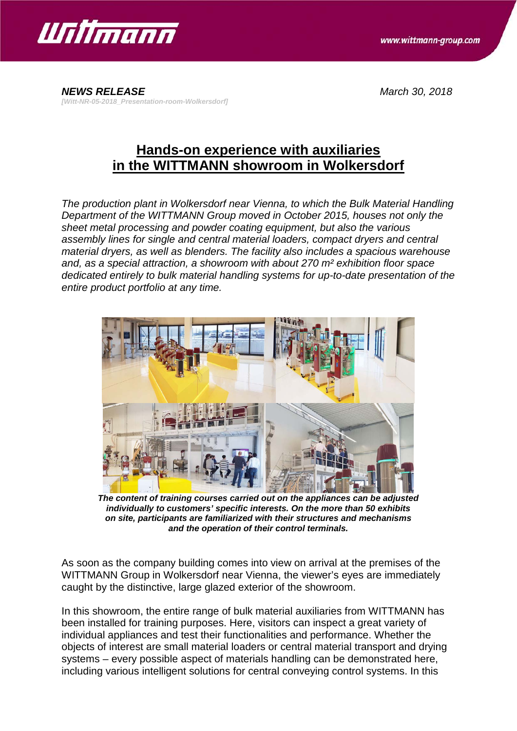

*NEWS RELEASE March 30, 2018 [Witt-NR-05-2018\_Presentation-room-Wolkersdorf]*

## **Hands-on experience with auxiliaries in the WITTMANN showroom in Wolkersdorf**

*The production plant in Wolkersdorf near Vienna, to which the Bulk Material Handling Department of the WITTMANN Group moved in October 2015, houses not only the sheet metal processing and powder coating equipment, but also the various assembly lines for single and central material loaders, compact dryers and central material dryers, as well as blenders. The facility also includes a spacious warehouse and, as a special attraction, a showroom with about 270 m² exhibition floor space dedicated entirely to bulk material handling systems for up-to-date presentation of the entire product portfolio at any time.*



*The content of training courses carried out on the appliances can be adjusted individually to customers' specific interests. On the more than 50 exhibits on site, participants are familiarized with their structures and mechanisms and the operation of their control terminals.*

As soon as the company building comes into view on arrival at the premises of the WITTMANN Group in Wolkersdorf near Vienna, the viewer's eyes are immediately caught by the distinctive, large glazed exterior of the showroom.

In this showroom, the entire range of bulk material auxiliaries from WITTMANN has been installed for training purposes. Here, visitors can inspect a great variety of individual appliances and test their functionalities and performance. Whether the objects of interest are small material loaders or central material transport and drying systems – every possible aspect of materials handling can be demonstrated here, including various intelligent solutions for central conveying control systems. In this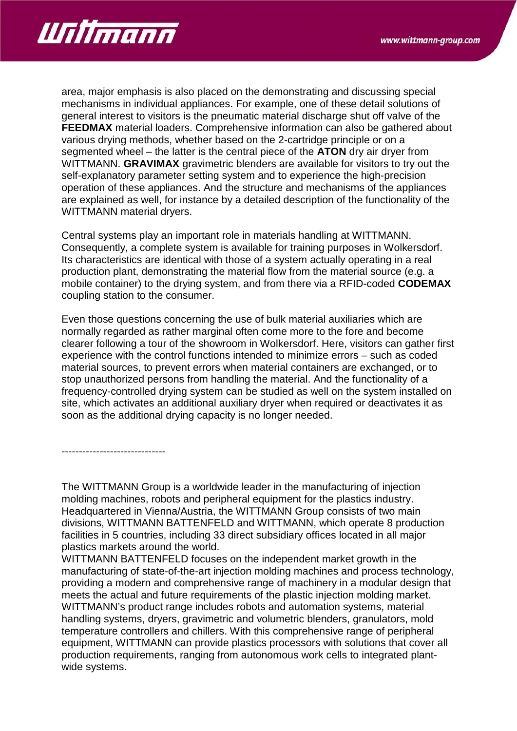

area, major emphasis is also placed on the demonstrating and discussing special mechanisms in individual appliances. For example, one of these detail solutions of general interest to visitors is the pneumatic material discharge shut off valve of the **FEEDMAX** material loaders. Comprehensive information can also be gathered about various drying methods, whether based on the 2-cartridge principle or on a segmented wheel – the latter is the central piece of the **ATON** dry air dryer from WITTMANN. **GRAVIMAX** gravimetric blenders are available for visitors to try out the self-explanatory parameter setting system and to experience the high-precision operation of these appliances. And the structure and mechanisms of the appliances are explained as well, for instance by a detailed description of the functionality of the WITTMANN material dryers.

Central systems play an important role in materials handling at WITTMANN. Consequently, a complete system is available for training purposes in Wolkersdorf. Its characteristics are identical with those of a system actually operating in a real production plant, demonstrating the material flow from the material source (e.g. a mobile container) to the drying system, and from there via a RFID-coded **CODEMAX** coupling station to the consumer.

Even those questions concerning the use of bulk material auxiliaries which are normally regarded as rather marginal often come more to the fore and become clearer following a tour of the showroom in Wolkersdorf. Here, visitors can gather first experience with the control functions intended to minimize errors – such as coded material sources, to prevent errors when material containers are exchanged, or to stop unauthorized persons from handling the material. And the functionality of a frequency-controlled drying system can be studied as well on the system installed on site, which activates an additional auxiliary dryer when required or deactivates it as soon as the additional drying capacity is no longer needed.

------------------------------

The WITTMANN Group is a worldwide leader in the manufacturing of injection molding machines, robots and peripheral equipment for the plastics industry. Headquartered in Vienna/Austria, the WITTMANN Group consists of two main divisions, WITTMANN BATTENFELD and WITTMANN, which operate 8 production facilities in 5 countries, including 33 direct subsidiary offices located in all major plastics markets around the world.

WITTMANN BATTENFELD focuses on the independent market growth in the manufacturing of state-of-the-art injection molding machines and process technology, providing a modern and comprehensive range of machinery in a modular design that meets the actual and future requirements of the plastic injection molding market. WITTMANN's product range includes robots and automation systems, material handling systems, dryers, gravimetric and volumetric blenders, granulators, mold temperature controllers and chillers. With this comprehensive range of peripheral equipment, WITTMANN can provide plastics processors with solutions that cover all production requirements, ranging from autonomous work cells to integrated plantwide systems.